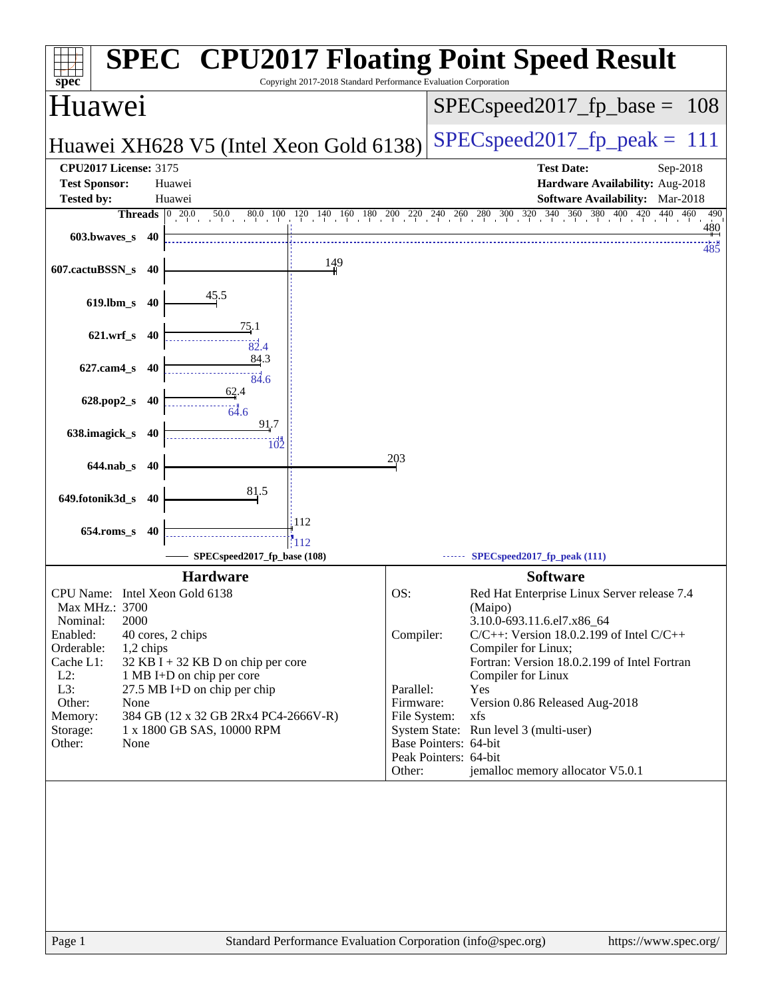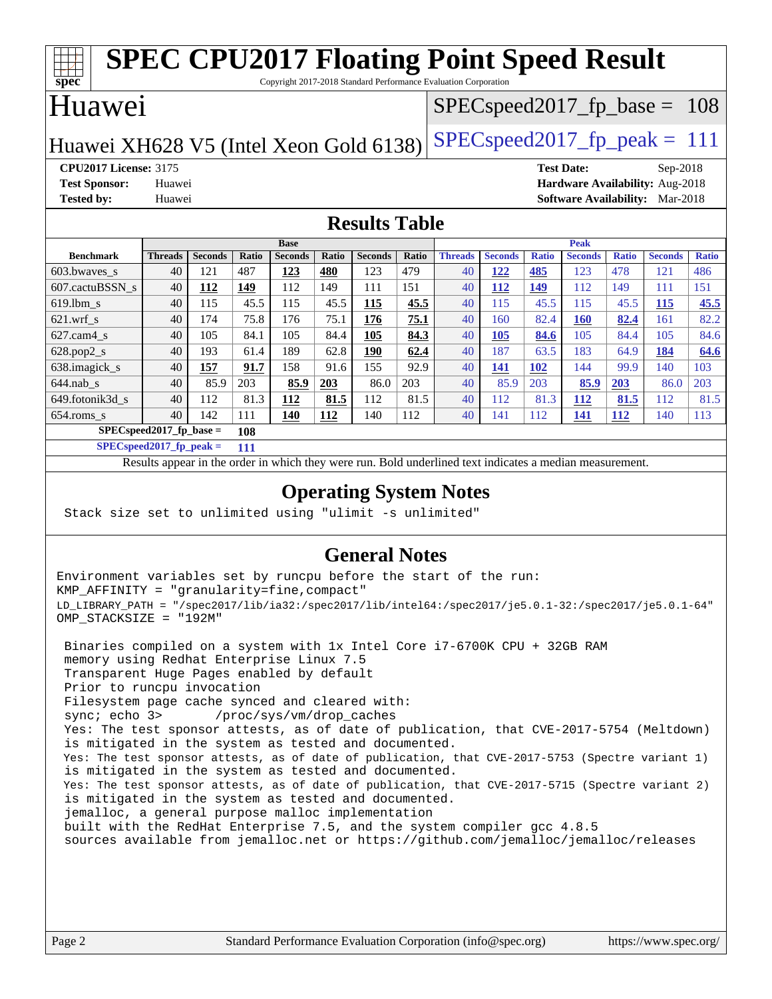| <b>SPEC CPU2017 Floating Point Speed Result</b><br>$\overline{\text{spec}^*}$<br>Copyright 2017-2018 Standard Performance Evaluation Corporation |                |                |       |                |            |                |                                  |                |                |              |                                 |              |                |              |
|--------------------------------------------------------------------------------------------------------------------------------------------------|----------------|----------------|-------|----------------|------------|----------------|----------------------------------|----------------|----------------|--------------|---------------------------------|--------------|----------------|--------------|
| Huawei                                                                                                                                           |                |                |       |                |            |                | $SPEC speed2017_f p\_base = 108$ |                |                |              |                                 |              |                |              |
| $SPEC speed2017_fp\_peak = 111$<br>Huawei XH628 V5 (Intel Xeon Gold 6138)                                                                        |                |                |       |                |            |                |                                  |                |                |              |                                 |              |                |              |
| <b>CPU2017 License: 3175</b><br><b>Test Date:</b><br>$Sep-2018$                                                                                  |                |                |       |                |            |                |                                  |                |                |              |                                 |              |                |              |
| Hardware Availability: Aug-2018<br><b>Test Sponsor:</b><br>Huawei                                                                                |                |                |       |                |            |                |                                  |                |                |              |                                 |              |                |              |
| <b>Tested by:</b>                                                                                                                                | Huawei         |                |       |                |            |                |                                  |                |                |              | Software Availability: Mar-2018 |              |                |              |
| <b>Results Table</b>                                                                                                                             |                |                |       |                |            |                |                                  |                |                |              |                                 |              |                |              |
|                                                                                                                                                  |                |                |       | <b>Base</b>    |            |                |                                  |                |                |              | <b>Peak</b>                     |              |                |              |
| <b>Benchmark</b>                                                                                                                                 | <b>Threads</b> | <b>Seconds</b> | Ratio | <b>Seconds</b> | Ratio      | <b>Seconds</b> | <b>Ratio</b>                     | <b>Threads</b> | <b>Seconds</b> | <b>Ratio</b> | <b>Seconds</b>                  | <b>Ratio</b> | <b>Seconds</b> | <b>Ratio</b> |
| 603.bwaves s                                                                                                                                     | 40             | 121            | 487   | 123            | 480        | 123            | 479                              | 40             | <u>122</u>     | 485          | 123                             | 478          | 121            | 486          |
| 607.cactuBSSN s                                                                                                                                  | 40             | 112            | 149   | 112            | 149        | 111            | 151                              | 40             | 112            | 149          | 112                             | 149          | 111            | 151          |
| 619.lbm s                                                                                                                                        | 40             | 115            | 45.5  | 115            | 45.5       | 115            | 45.5                             | 40             | 115            | 45.5         | 115                             | 45.5         | 115            | 45.5         |
| $621$ .wrf s                                                                                                                                     | 40             | 174            | 75.8  | 176            | 75.1       | 176            | 75.1                             | 40             | 160            | 82.4         | 160                             | 82.4         | 161            | 82.2         |
| $627$ .cam $4$ s                                                                                                                                 | 40             | 105            | 84.1  | 105            | 84.4       | 105            | 84.3                             | 40             | 105            | 84.6         | 105                             | 84.4         | 105            | 84.6         |
| 628.pop2_s                                                                                                                                       | 40             | 193            | 61.4  | 189            | 62.8       | 190            | 62.4                             | 40             | 187            | 63.5         | 183                             | 64.9         | 184            | 64.6         |
| 638.imagick_s                                                                                                                                    | 40             | 157            | 91.7  | 158            | 91.6       | 155            | 92.9                             | 40             | 141            | <b>102</b>   | 144                             | 99.9         | 140            | 103          |
| $644$ .nab s                                                                                                                                     | 40             | 85.9           | 203   | 85.9           | <b>203</b> | 86.0           | 203                              | 40             | 85.9           | 203          | 85.9                            | 203          | 86.0           | 203          |
| 649.fotonik3d s                                                                                                                                  | 40             | 112            | 81.3  | 112            | 81.5       | 112            | 81.5                             | 40             | 112            | 81.3         | 112                             | 81.5         | 112            | 81.5         |
| 654.roms_s                                                                                                                                       | 40             | 142            | 111   | 140            | 112        | 140            | 112                              | 40             | 141            | 112          | 141                             | 112          | 140            | 113          |
| $SPECspeed2017$ fp base =<br>108                                                                                                                 |                |                |       |                |            |                |                                  |                |                |              |                                 |              |                |              |

**[SPECspeed2017\\_fp\\_peak =](http://www.spec.org/auto/cpu2017/Docs/result-fields.html#SPECspeed2017fppeak) 111**

Results appear in the [order in which they were run.](http://www.spec.org/auto/cpu2017/Docs/result-fields.html#RunOrder) Bold underlined text [indicates a median measurement](http://www.spec.org/auto/cpu2017/Docs/result-fields.html#Median).

### **[Operating System Notes](http://www.spec.org/auto/cpu2017/Docs/result-fields.html#OperatingSystemNotes)**

Stack size set to unlimited using "ulimit -s unlimited"

### **[General Notes](http://www.spec.org/auto/cpu2017/Docs/result-fields.html#GeneralNotes)**

Environment variables set by runcpu before the start of the run: KMP\_AFFINITY = "granularity=fine,compact" LD\_LIBRARY\_PATH = "/spec2017/lib/ia32:/spec2017/lib/intel64:/spec2017/je5.0.1-32:/spec2017/je5.0.1-64" OMP\_STACKSIZE = "192M"

 Binaries compiled on a system with 1x Intel Core i7-6700K CPU + 32GB RAM memory using Redhat Enterprise Linux 7.5 Transparent Huge Pages enabled by default Prior to runcpu invocation Filesystem page cache synced and cleared with: sync; echo 3> /proc/sys/vm/drop\_caches Yes: The test sponsor attests, as of date of publication, that CVE-2017-5754 (Meltdown) is mitigated in the system as tested and documented. Yes: The test sponsor attests, as of date of publication, that CVE-2017-5753 (Spectre variant 1) is mitigated in the system as tested and documented. Yes: The test sponsor attests, as of date of publication, that CVE-2017-5715 (Spectre variant 2) is mitigated in the system as tested and documented. jemalloc, a general purpose malloc implementation built with the RedHat Enterprise 7.5, and the system compiler gcc 4.8.5 sources available from jemalloc.net or <https://github.com/jemalloc/jemalloc/releases>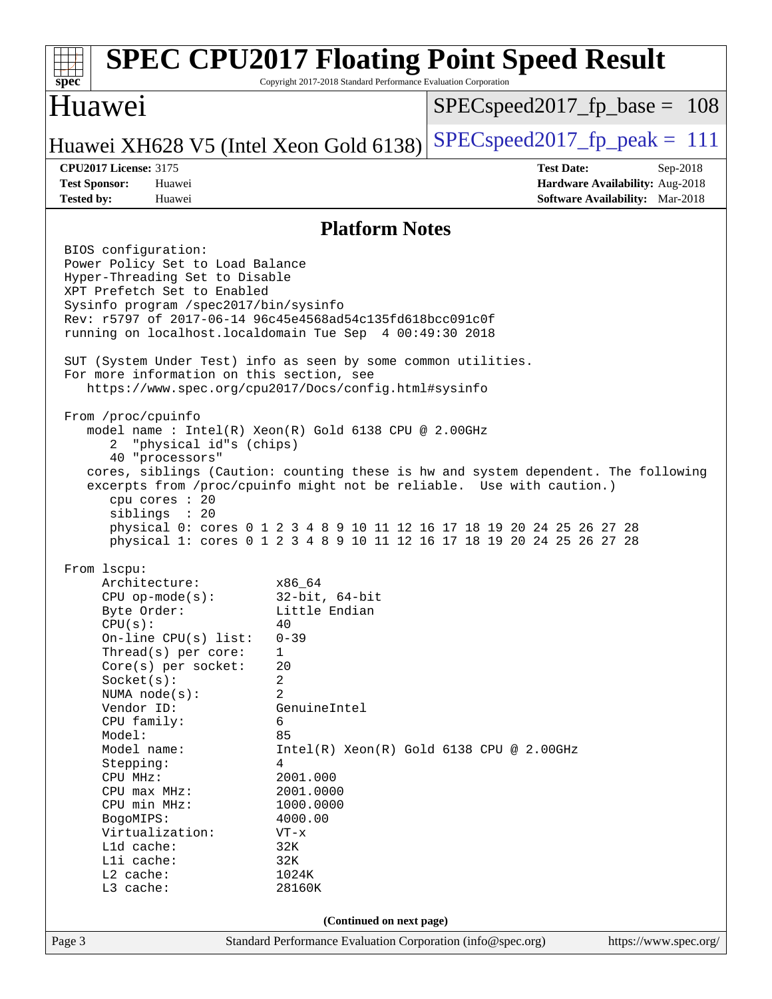### Page 3 Standard Performance Evaluation Corporation [\(info@spec.org\)](mailto:info@spec.org) <https://www.spec.org/> **[spec](http://www.spec.org/) [SPEC CPU2017 Floating Point Speed Result](http://www.spec.org/auto/cpu2017/Docs/result-fields.html#SPECCPU2017FloatingPointSpeedResult)** Copyright 2017-2018 Standard Performance Evaluation Corporation Huawei Huawei XH628 V5 (Intel Xeon Gold 6138) SPECspeed 2017 fp peak  $= 111$ SPECspeed2017 fp base =  $108$ **[CPU2017 License:](http://www.spec.org/auto/cpu2017/Docs/result-fields.html#CPU2017License)** 3175 **[Test Date:](http://www.spec.org/auto/cpu2017/Docs/result-fields.html#TestDate)** Sep-2018 **[Test Sponsor:](http://www.spec.org/auto/cpu2017/Docs/result-fields.html#TestSponsor)** Huawei **[Hardware Availability:](http://www.spec.org/auto/cpu2017/Docs/result-fields.html#HardwareAvailability)** Aug-2018 **[Tested by:](http://www.spec.org/auto/cpu2017/Docs/result-fields.html#Testedby)** Huawei **[Software Availability:](http://www.spec.org/auto/cpu2017/Docs/result-fields.html#SoftwareAvailability)** Mar-2018 **[Platform Notes](http://www.spec.org/auto/cpu2017/Docs/result-fields.html#PlatformNotes)** BIOS configuration: Power Policy Set to Load Balance Hyper-Threading Set to Disable XPT Prefetch Set to Enabled Sysinfo program /spec2017/bin/sysinfo Rev: r5797 of 2017-06-14 96c45e4568ad54c135fd618bcc091c0f running on localhost.localdomain Tue Sep 4 00:49:30 2018 SUT (System Under Test) info as seen by some common utilities. For more information on this section, see <https://www.spec.org/cpu2017/Docs/config.html#sysinfo> From /proc/cpuinfo model name : Intel(R) Xeon(R) Gold 6138 CPU @ 2.00GHz 2 "physical id"s (chips) 40 "processors" cores, siblings (Caution: counting these is hw and system dependent. The following excerpts from /proc/cpuinfo might not be reliable. Use with caution.) cpu cores : 20 siblings : 20 physical 0: cores 0 1 2 3 4 8 9 10 11 12 16 17 18 19 20 24 25 26 27 28 physical 1: cores 0 1 2 3 4 8 9 10 11 12 16 17 18 19 20 24 25 26 27 28 From lscpu: Architecture: x86\_64 CPU op-mode(s): 32-bit, 64-bit Byte Order: Little Endian  $CPU(s):$  40 On-line CPU(s) list: 0-39 Thread(s) per core: 1 Core(s) per socket: 20 Socket(s): 2 NUMA node(s): 2 Vendor ID: GenuineIntel CPU family: 6 Model: 85 Model name:  $Intel(R)$  Xeon(R) Gold 6138 CPU @ 2.00GHz Stepping: 4 CPU MHz: 2001.000 CPU max MHz: 2001.0000 CPU min MHz: 1000.0000 BogoMIPS: 4000.00 Virtualization: VT-x L1d cache: 32K<br>
L1i cache: 32K  $L1i$  cache: L2 cache: 1024K L3 cache: 28160K **(Continued on next page)**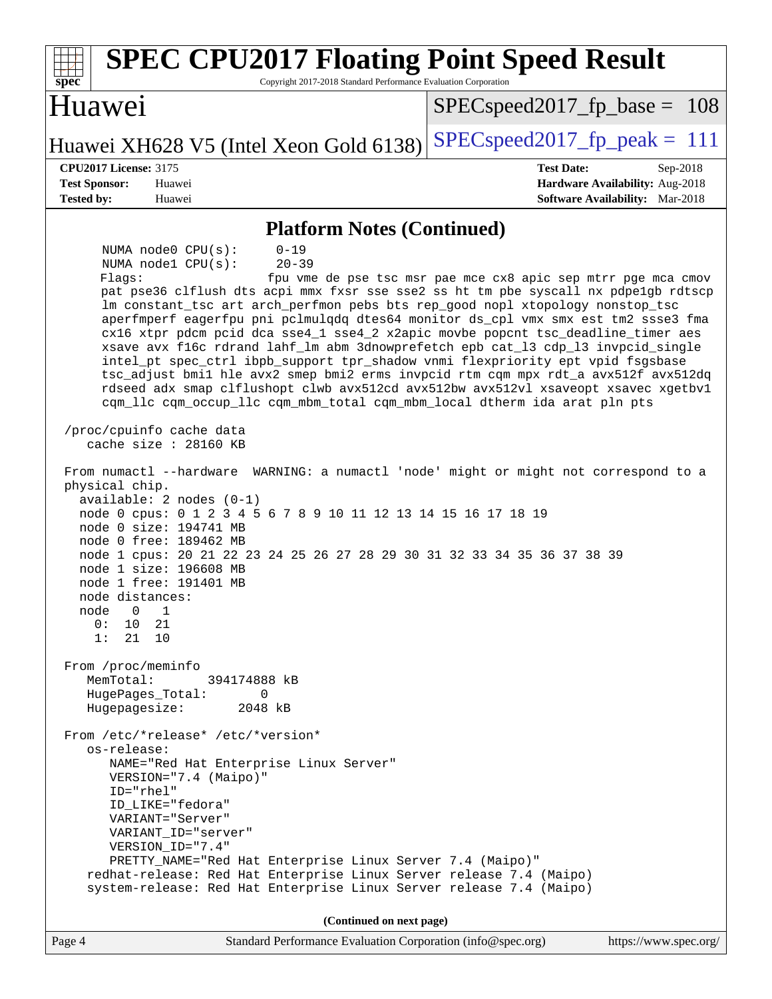| <b>SPEC CPU2017 Floating Point Speed Result</b><br>Copyright 2017-2018 Standard Performance Evaluation Corporation<br>spec                                                                                                                                                                                                                                                                                                                                                                                                                                                                                                                                                                                                                                                                                                                                                                                                                                                                                                                                                                                                                                                                                                                                                                                                                                                                                                                                                                                                                                                                                                           |                                                                           |  |  |  |  |  |
|--------------------------------------------------------------------------------------------------------------------------------------------------------------------------------------------------------------------------------------------------------------------------------------------------------------------------------------------------------------------------------------------------------------------------------------------------------------------------------------------------------------------------------------------------------------------------------------------------------------------------------------------------------------------------------------------------------------------------------------------------------------------------------------------------------------------------------------------------------------------------------------------------------------------------------------------------------------------------------------------------------------------------------------------------------------------------------------------------------------------------------------------------------------------------------------------------------------------------------------------------------------------------------------------------------------------------------------------------------------------------------------------------------------------------------------------------------------------------------------------------------------------------------------------------------------------------------------------------------------------------------------|---------------------------------------------------------------------------|--|--|--|--|--|
| Huawei                                                                                                                                                                                                                                                                                                                                                                                                                                                                                                                                                                                                                                                                                                                                                                                                                                                                                                                                                                                                                                                                                                                                                                                                                                                                                                                                                                                                                                                                                                                                                                                                                               | $SPEC speed2017_f p\_base = 108$                                          |  |  |  |  |  |
| Huawei XH628 V5 (Intel Xeon Gold 6138)                                                                                                                                                                                                                                                                                                                                                                                                                                                                                                                                                                                                                                                                                                                                                                                                                                                                                                                                                                                                                                                                                                                                                                                                                                                                                                                                                                                                                                                                                                                                                                                               | $SPEC speed2017_fp\_peak = 111$                                           |  |  |  |  |  |
| <b>CPU2017 License: 3175</b>                                                                                                                                                                                                                                                                                                                                                                                                                                                                                                                                                                                                                                                                                                                                                                                                                                                                                                                                                                                                                                                                                                                                                                                                                                                                                                                                                                                                                                                                                                                                                                                                         | <b>Test Date:</b><br>Sep-2018                                             |  |  |  |  |  |
| <b>Test Sponsor:</b><br>Huawei<br><b>Tested by:</b><br>Huawei                                                                                                                                                                                                                                                                                                                                                                                                                                                                                                                                                                                                                                                                                                                                                                                                                                                                                                                                                                                                                                                                                                                                                                                                                                                                                                                                                                                                                                                                                                                                                                        | Hardware Availability: Aug-2018<br><b>Software Availability:</b> Mar-2018 |  |  |  |  |  |
| <b>Platform Notes (Continued)</b>                                                                                                                                                                                                                                                                                                                                                                                                                                                                                                                                                                                                                                                                                                                                                                                                                                                                                                                                                                                                                                                                                                                                                                                                                                                                                                                                                                                                                                                                                                                                                                                                    |                                                                           |  |  |  |  |  |
| NUMA node0 CPU(s):<br>$0 - 19$<br>NUMA nodel CPU(s):<br>$20 - 39$<br>Flaqs:<br>pat pse36 clflush dts acpi mmx fxsr sse sse2 ss ht tm pbe syscall nx pdpelgb rdtscp<br>lm constant_tsc art arch_perfmon pebs bts rep_good nopl xtopology nonstop_tsc<br>aperfmperf eagerfpu pni pclmulqdq dtes64 monitor ds_cpl vmx smx est tm2 ssse3 fma<br>cx16 xtpr pdcm pcid dca sse4_1 sse4_2 x2apic movbe popcnt tsc_deadline_timer aes<br>xsave avx f16c rdrand lahf_lm abm 3dnowprefetch epb cat_13 cdp_13 invpcid_single<br>intel_pt spec_ctrl ibpb_support tpr_shadow vnmi flexpriority ept vpid fsgsbase<br>tsc_adjust bmil hle avx2 smep bmi2 erms invpcid rtm cqm mpx rdt_a avx512f avx512dq<br>rdseed adx smap clflushopt clwb avx512cd avx512bw avx512vl xsaveopt xsavec xgetbvl<br>cqm_llc cqm_occup_llc cqm_mbm_total cqm_mbm_local dtherm ida arat pln pts<br>/proc/cpuinfo cache data<br>cache size $: 28160$ KB<br>From numactl --hardware WARNING: a numactl 'node' might or might not correspond to a<br>physical chip.<br>$available: 2 nodes (0-1)$<br>node 0 cpus: 0 1 2 3 4 5 6 7 8 9 10 11 12 13 14 15 16 17 18 19<br>node 0 size: 194741 MB<br>node 0 free: 189462 MB<br>node 1 cpus: 20 21 22 23 24 25 26 27 28 29 30 31 32 33 34 35 36 37 38 39<br>node 1 size: 196608 MB<br>node 1 free: 191401 MB<br>node distances:<br>node 0 1<br>0:<br>10 21<br>1:<br>21<br>10<br>From /proc/meminfo<br>MemTotal:<br>394174888 kB<br>HugePages_Total:<br>$\Omega$<br>2048 kB<br>Hugepagesize:<br>From /etc/*release* /etc/*version*<br>os-release:<br>NAME="Red Hat Enterprise Linux Server"<br>VERSION="7.4 (Maipo)"<br>ID="rhel" | fpu vme de pse tsc msr pae mce cx8 apic sep mtrr pge mca cmov             |  |  |  |  |  |
| ID_LIKE="fedora"<br>VARIANT="Server"<br>VARIANT_ID="server"                                                                                                                                                                                                                                                                                                                                                                                                                                                                                                                                                                                                                                                                                                                                                                                                                                                                                                                                                                                                                                                                                                                                                                                                                                                                                                                                                                                                                                                                                                                                                                          |                                                                           |  |  |  |  |  |
| VERSION_ID="7.4"<br>PRETTY_NAME="Red Hat Enterprise Linux Server 7.4 (Maipo)"<br>redhat-release: Red Hat Enterprise Linux Server release 7.4 (Maipo)<br>system-release: Red Hat Enterprise Linux Server release 7.4 (Maipo)                                                                                                                                                                                                                                                                                                                                                                                                                                                                                                                                                                                                                                                                                                                                                                                                                                                                                                                                                                                                                                                                                                                                                                                                                                                                                                                                                                                                          |                                                                           |  |  |  |  |  |
| (Continued on next page)                                                                                                                                                                                                                                                                                                                                                                                                                                                                                                                                                                                                                                                                                                                                                                                                                                                                                                                                                                                                                                                                                                                                                                                                                                                                                                                                                                                                                                                                                                                                                                                                             |                                                                           |  |  |  |  |  |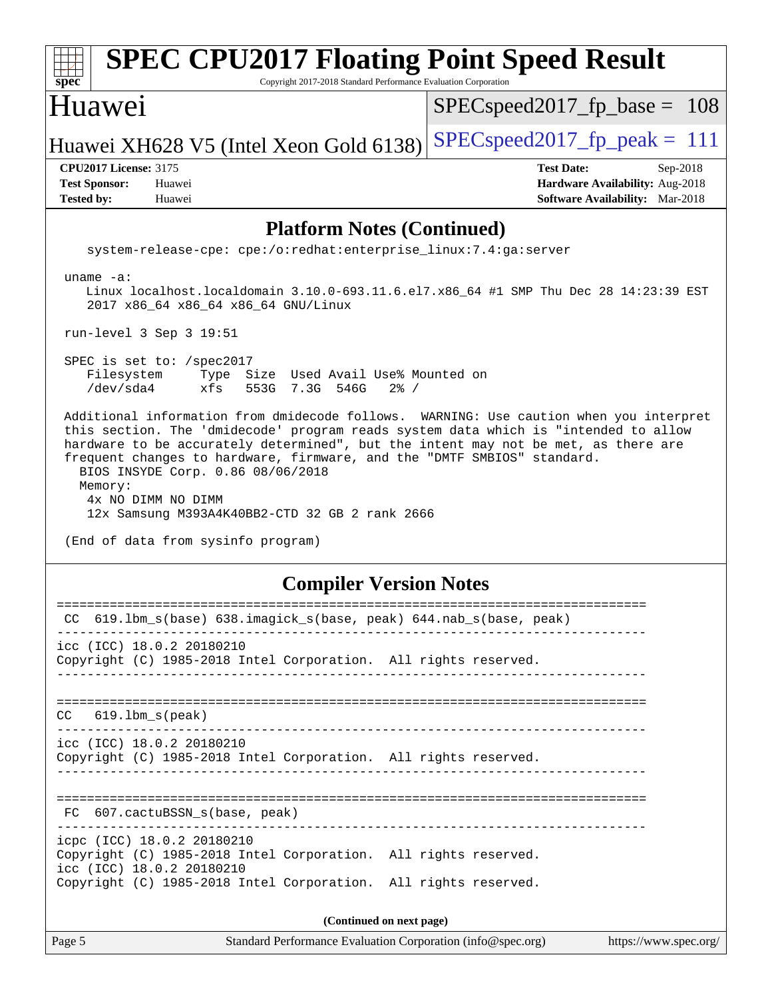| <b>SPEC CPU2017 Floating Point Speed Result</b><br>$spec*$<br>Copyright 2017-2018 Standard Performance Evaluation Corporation                                                                                                                                                                                                                                                                                                                                                                                |                                                                                                            |  |  |  |  |  |  |
|--------------------------------------------------------------------------------------------------------------------------------------------------------------------------------------------------------------------------------------------------------------------------------------------------------------------------------------------------------------------------------------------------------------------------------------------------------------------------------------------------------------|------------------------------------------------------------------------------------------------------------|--|--|--|--|--|--|
| Huawei                                                                                                                                                                                                                                                                                                                                                                                                                                                                                                       | $SPEC speed2017_f p\_base = 108$                                                                           |  |  |  |  |  |  |
| Huawei XH628 V5 (Intel Xeon Gold 6138)                                                                                                                                                                                                                                                                                                                                                                                                                                                                       | $SPEC speed2017_fp\_peak = 111$                                                                            |  |  |  |  |  |  |
| <b>CPU2017 License: 3175</b><br><b>Test Sponsor:</b><br>Huawei<br><b>Tested by:</b><br>Huawei                                                                                                                                                                                                                                                                                                                                                                                                                | <b>Test Date:</b><br>Sep-2018<br>Hardware Availability: Aug-2018<br><b>Software Availability:</b> Mar-2018 |  |  |  |  |  |  |
| <b>Platform Notes (Continued)</b>                                                                                                                                                                                                                                                                                                                                                                                                                                                                            |                                                                                                            |  |  |  |  |  |  |
| system-release-cpe: cpe:/o:redhat:enterprise_linux:7.4:ga:server                                                                                                                                                                                                                                                                                                                                                                                                                                             |                                                                                                            |  |  |  |  |  |  |
| uname $-a$ :<br>Linux localhost.localdomain 3.10.0-693.11.6.el7.x86_64 #1 SMP Thu Dec 28 14:23:39 EST<br>2017 x86_64 x86_64 x86_64 GNU/Linux                                                                                                                                                                                                                                                                                                                                                                 |                                                                                                            |  |  |  |  |  |  |
| run-level 3 Sep 3 19:51                                                                                                                                                                                                                                                                                                                                                                                                                                                                                      |                                                                                                            |  |  |  |  |  |  |
| SPEC is set to: /spec2017<br>Filesystem<br>Type Size Used Avail Use% Mounted on<br>/dev/sda4<br>xfs<br>553G<br>7.3G 546G<br>$2\frac{8}{1}$ /                                                                                                                                                                                                                                                                                                                                                                 |                                                                                                            |  |  |  |  |  |  |
| Additional information from dmidecode follows. WARNING: Use caution when you interpret<br>this section. The 'dmidecode' program reads system data which is "intended to allow<br>hardware to be accurately determined", but the intent may not be met, as there are<br>frequent changes to hardware, firmware, and the "DMTF SMBIOS" standard.<br>BIOS INSYDE Corp. 0.86 08/06/2018<br>Memory:<br>4x NO DIMM NO DIMM<br>12x Samsung M393A4K40BB2-CTD 32 GB 2 rank 2666<br>(End of data from sysinfo program) |                                                                                                            |  |  |  |  |  |  |
| <b>Compiler Version Notes</b>                                                                                                                                                                                                                                                                                                                                                                                                                                                                                |                                                                                                            |  |  |  |  |  |  |
| =======<br>CC 619.1bm_s(base) 638.imagick_s(base, peak) 644.nab_s(base, peak)                                                                                                                                                                                                                                                                                                                                                                                                                                |                                                                                                            |  |  |  |  |  |  |
| icc (ICC) 18.0.2 20180210<br>Copyright (C) 1985-2018 Intel Corporation. All rights reserved.                                                                                                                                                                                                                                                                                                                                                                                                                 |                                                                                                            |  |  |  |  |  |  |
| $619.1$ bm_s(peak)<br>CC.                                                                                                                                                                                                                                                                                                                                                                                                                                                                                    |                                                                                                            |  |  |  |  |  |  |
| icc (ICC) 18.0.2 20180210<br>Copyright (C) 1985-2018 Intel Corporation. All rights reserved.                                                                                                                                                                                                                                                                                                                                                                                                                 |                                                                                                            |  |  |  |  |  |  |
| FC 607.cactuBSSN_s(base, peak)                                                                                                                                                                                                                                                                                                                                                                                                                                                                               |                                                                                                            |  |  |  |  |  |  |
| icpc (ICC) 18.0.2 20180210<br>Copyright (C) 1985-2018 Intel Corporation. All rights reserved.<br>icc (ICC) 18.0.2 20180210<br>Copyright (C) 1985-2018 Intel Corporation. All rights reserved.                                                                                                                                                                                                                                                                                                                |                                                                                                            |  |  |  |  |  |  |
|                                                                                                                                                                                                                                                                                                                                                                                                                                                                                                              |                                                                                                            |  |  |  |  |  |  |
| (Continued on next page)<br>Page 5<br>Standard Performance Evaluation Corporation (info@spec.org)                                                                                                                                                                                                                                                                                                                                                                                                            | https://www.spec.org/                                                                                      |  |  |  |  |  |  |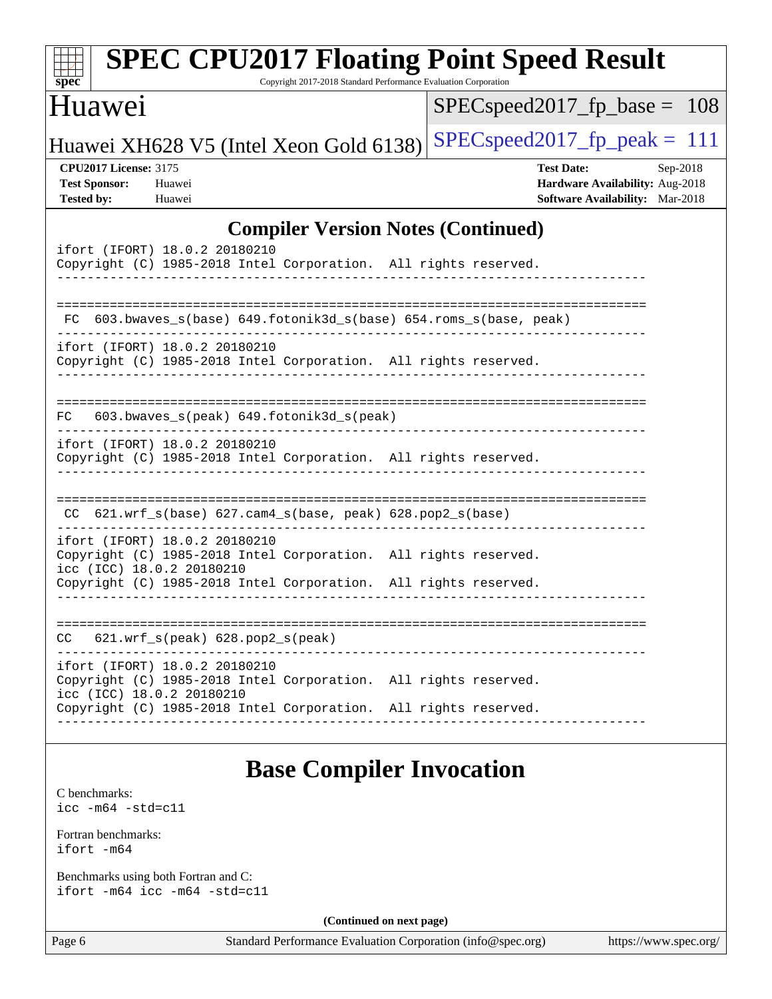| $spec^*$                                                                  | <b>SPEC CPU2017 Floating Point Speed Result</b>                                                                               | Copyright 2017-2018 Standard Performance Evaluation Corporation |                          |                                                                                                |                       |
|---------------------------------------------------------------------------|-------------------------------------------------------------------------------------------------------------------------------|-----------------------------------------------------------------|--------------------------|------------------------------------------------------------------------------------------------|-----------------------|
| Huawei                                                                    |                                                                                                                               |                                                                 |                          | $SPEC speed2017_fp\_base =$                                                                    | -108                  |
|                                                                           | Huawei XH628 V5 (Intel Xeon Gold 6138)                                                                                        |                                                                 |                          | $SPEC speed2017fp peak = 111$                                                                  |                       |
| <b>CPU2017 License: 3175</b><br><b>Test Sponsor:</b><br><b>Tested by:</b> | Huawei<br>Huawei                                                                                                              |                                                                 |                          | <b>Test Date:</b><br>Hardware Availability: Aug-2018<br><b>Software Availability:</b> Mar-2018 | Sep-2018              |
|                                                                           |                                                                                                                               | <b>Compiler Version Notes (Continued)</b>                       |                          |                                                                                                |                       |
|                                                                           | ifort (IFORT) 18.0.2 20180210<br>Copyright (C) 1985-2018 Intel Corporation. All rights reserved.                              |                                                                 |                          |                                                                                                |                       |
| FC.                                                                       | 603.bwaves_s(base)    649.fotonik3d_s(base)    654.roms_s(base, peak)                                                         |                                                                 |                          |                                                                                                |                       |
|                                                                           | ifort (IFORT) 18.0.2 20180210<br>Copyright (C) 1985-2018 Intel Corporation. All rights reserved.                              |                                                                 |                          |                                                                                                |                       |
| FC.                                                                       | 603.bwaves_s(peak) 649.fotonik3d_s(peak)                                                                                      |                                                                 |                          |                                                                                                |                       |
|                                                                           | ifort (IFORT) 18.0.2 20180210<br>Copyright (C) 1985-2018 Intel Corporation. All rights reserved.                              |                                                                 |                          |                                                                                                |                       |
|                                                                           | $CC$ 621.wrf_s(base) 627.cam4_s(base, peak) 628.pop2_s(base)                                                                  |                                                                 |                          |                                                                                                |                       |
|                                                                           | ifort (IFORT) 18.0.2 20180210<br>Copyright (C) 1985-2018 Intel Corporation. All rights reserved.<br>icc (ICC) 18.0.2 20180210 |                                                                 |                          |                                                                                                |                       |
|                                                                           | Copyright (C) 1985-2018 Intel Corporation. All rights reserved.                                                               |                                                                 |                          |                                                                                                |                       |
| CC                                                                        | $621.wrf_s(peak)$ $628.pop2_s(peak)$                                                                                          |                                                                 |                          |                                                                                                |                       |
|                                                                           | ifort (IFORT) 18.0.2 20180210<br>Copyright (C) 1985-2018 Intel Corporation. All rights reserved.<br>icc (ICC) 18.0.2 20180210 |                                                                 |                          |                                                                                                |                       |
|                                                                           | Copyright (C) 1985-2018 Intel Corporation. All rights reserved.                                                               |                                                                 |                          |                                                                                                |                       |
|                                                                           |                                                                                                                               | <b>Base Compiler Invocation</b>                                 |                          |                                                                                                |                       |
| C benchmarks:<br>$\text{icc}$ -m64 -std=c11                               |                                                                                                                               |                                                                 |                          |                                                                                                |                       |
| Fortran benchmarks:<br>ifort -m64                                         |                                                                                                                               |                                                                 |                          |                                                                                                |                       |
|                                                                           | Benchmarks using both Fortran and C:<br>ifort -m64 icc -m64 -std=c11                                                          |                                                                 |                          |                                                                                                |                       |
|                                                                           |                                                                                                                               |                                                                 | (Continued on next page) |                                                                                                |                       |
| Page 6                                                                    |                                                                                                                               | Standard Performance Evaluation Corporation (info@spec.org)     |                          |                                                                                                | https://www.spec.org/ |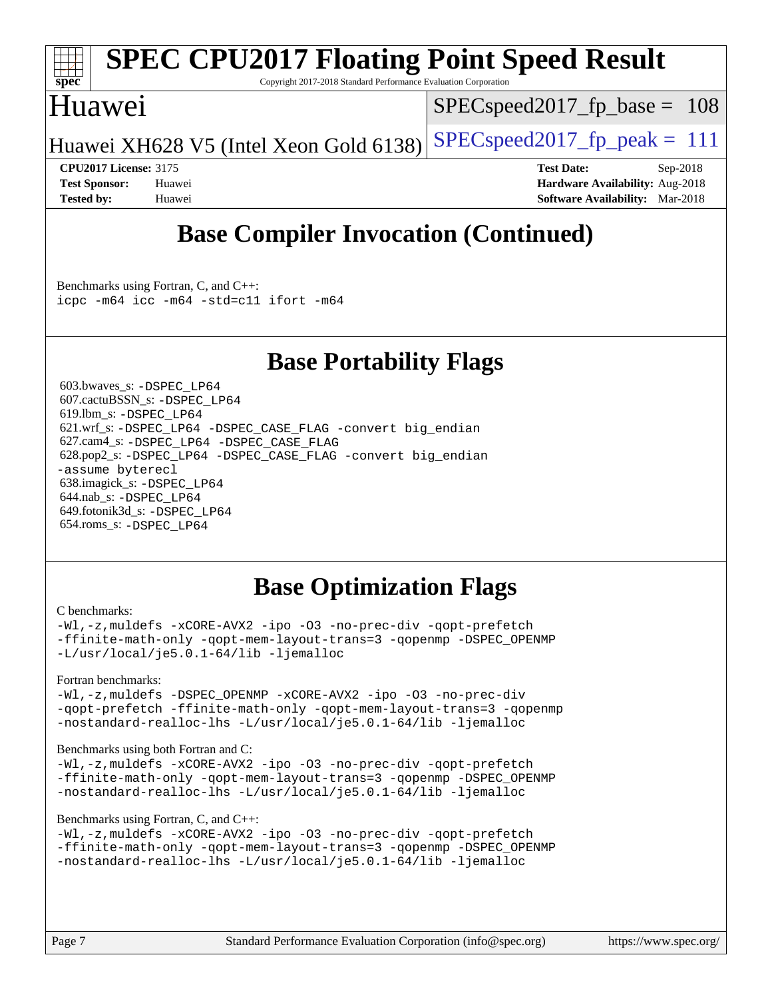

## **[SPEC CPU2017 Floating Point Speed Result](http://www.spec.org/auto/cpu2017/Docs/result-fields.html#SPECCPU2017FloatingPointSpeedResult)**

Copyright 2017-2018 Standard Performance Evaluation Corporation

## Huawei

SPECspeed2017 fp base =  $108$ 

Huawei XH628 V5 (Intel Xeon Gold 6138) SPECspeed 2017 fp peak  $= 111$ 

**[CPU2017 License:](http://www.spec.org/auto/cpu2017/Docs/result-fields.html#CPU2017License)** 3175 **[Test Date:](http://www.spec.org/auto/cpu2017/Docs/result-fields.html#TestDate)** Sep-2018 **[Test Sponsor:](http://www.spec.org/auto/cpu2017/Docs/result-fields.html#TestSponsor)** Huawei **[Hardware Availability:](http://www.spec.org/auto/cpu2017/Docs/result-fields.html#HardwareAvailability)** Aug-2018 **[Tested by:](http://www.spec.org/auto/cpu2017/Docs/result-fields.html#Testedby)** Huawei **[Software Availability:](http://www.spec.org/auto/cpu2017/Docs/result-fields.html#SoftwareAvailability)** Mar-2018

## **[Base Compiler Invocation \(Continued\)](http://www.spec.org/auto/cpu2017/Docs/result-fields.html#BaseCompilerInvocation)**

[Benchmarks using Fortran, C, and C++:](http://www.spec.org/auto/cpu2017/Docs/result-fields.html#BenchmarksusingFortranCandCXX) [icpc -m64](http://www.spec.org/cpu2017/results/res2018q4/cpu2017-20181025-09278.flags.html#user_CC_CXX_FCbase_intel_icpc_64bit_4ecb2543ae3f1412ef961e0650ca070fec7b7afdcd6ed48761b84423119d1bf6bdf5cad15b44d48e7256388bc77273b966e5eb805aefd121eb22e9299b2ec9d9) [icc -m64 -std=c11](http://www.spec.org/cpu2017/results/res2018q4/cpu2017-20181025-09278.flags.html#user_CC_CXX_FCbase_intel_icc_64bit_c11_33ee0cdaae7deeeab2a9725423ba97205ce30f63b9926c2519791662299b76a0318f32ddfffdc46587804de3178b4f9328c46fa7c2b0cd779d7a61945c91cd35) [ifort -m64](http://www.spec.org/cpu2017/results/res2018q4/cpu2017-20181025-09278.flags.html#user_CC_CXX_FCbase_intel_ifort_64bit_24f2bb282fbaeffd6157abe4f878425411749daecae9a33200eee2bee2fe76f3b89351d69a8130dd5949958ce389cf37ff59a95e7a40d588e8d3a57e0c3fd751)

## **[Base Portability Flags](http://www.spec.org/auto/cpu2017/Docs/result-fields.html#BasePortabilityFlags)**

 603.bwaves\_s: [-DSPEC\\_LP64](http://www.spec.org/cpu2017/results/res2018q4/cpu2017-20181025-09278.flags.html#suite_basePORTABILITY603_bwaves_s_DSPEC_LP64) 607.cactuBSSN\_s: [-DSPEC\\_LP64](http://www.spec.org/cpu2017/results/res2018q4/cpu2017-20181025-09278.flags.html#suite_basePORTABILITY607_cactuBSSN_s_DSPEC_LP64) 619.lbm\_s: [-DSPEC\\_LP64](http://www.spec.org/cpu2017/results/res2018q4/cpu2017-20181025-09278.flags.html#suite_basePORTABILITY619_lbm_s_DSPEC_LP64) 621.wrf\_s: [-DSPEC\\_LP64](http://www.spec.org/cpu2017/results/res2018q4/cpu2017-20181025-09278.flags.html#suite_basePORTABILITY621_wrf_s_DSPEC_LP64) [-DSPEC\\_CASE\\_FLAG](http://www.spec.org/cpu2017/results/res2018q4/cpu2017-20181025-09278.flags.html#b621.wrf_s_baseCPORTABILITY_DSPEC_CASE_FLAG) [-convert big\\_endian](http://www.spec.org/cpu2017/results/res2018q4/cpu2017-20181025-09278.flags.html#user_baseFPORTABILITY621_wrf_s_convert_big_endian_c3194028bc08c63ac5d04de18c48ce6d347e4e562e8892b8bdbdc0214820426deb8554edfa529a3fb25a586e65a3d812c835984020483e7e73212c4d31a38223) 627.cam4\_s: [-DSPEC\\_LP64](http://www.spec.org/cpu2017/results/res2018q4/cpu2017-20181025-09278.flags.html#suite_basePORTABILITY627_cam4_s_DSPEC_LP64) [-DSPEC\\_CASE\\_FLAG](http://www.spec.org/cpu2017/results/res2018q4/cpu2017-20181025-09278.flags.html#b627.cam4_s_baseCPORTABILITY_DSPEC_CASE_FLAG) 628.pop2\_s: [-DSPEC\\_LP64](http://www.spec.org/cpu2017/results/res2018q4/cpu2017-20181025-09278.flags.html#suite_basePORTABILITY628_pop2_s_DSPEC_LP64) [-DSPEC\\_CASE\\_FLAG](http://www.spec.org/cpu2017/results/res2018q4/cpu2017-20181025-09278.flags.html#b628.pop2_s_baseCPORTABILITY_DSPEC_CASE_FLAG) [-convert big\\_endian](http://www.spec.org/cpu2017/results/res2018q4/cpu2017-20181025-09278.flags.html#user_baseFPORTABILITY628_pop2_s_convert_big_endian_c3194028bc08c63ac5d04de18c48ce6d347e4e562e8892b8bdbdc0214820426deb8554edfa529a3fb25a586e65a3d812c835984020483e7e73212c4d31a38223) [-assume byterecl](http://www.spec.org/cpu2017/results/res2018q4/cpu2017-20181025-09278.flags.html#user_baseFPORTABILITY628_pop2_s_assume_byterecl_7e47d18b9513cf18525430bbf0f2177aa9bf368bc7a059c09b2c06a34b53bd3447c950d3f8d6c70e3faf3a05c8557d66a5798b567902e8849adc142926523472) 638.imagick\_s: [-DSPEC\\_LP64](http://www.spec.org/cpu2017/results/res2018q4/cpu2017-20181025-09278.flags.html#suite_basePORTABILITY638_imagick_s_DSPEC_LP64) 644.nab\_s: [-DSPEC\\_LP64](http://www.spec.org/cpu2017/results/res2018q4/cpu2017-20181025-09278.flags.html#suite_basePORTABILITY644_nab_s_DSPEC_LP64) 649.fotonik3d\_s: [-DSPEC\\_LP64](http://www.spec.org/cpu2017/results/res2018q4/cpu2017-20181025-09278.flags.html#suite_basePORTABILITY649_fotonik3d_s_DSPEC_LP64) 654.roms\_s: [-DSPEC\\_LP64](http://www.spec.org/cpu2017/results/res2018q4/cpu2017-20181025-09278.flags.html#suite_basePORTABILITY654_roms_s_DSPEC_LP64)

## **[Base Optimization Flags](http://www.spec.org/auto/cpu2017/Docs/result-fields.html#BaseOptimizationFlags)**

#### [C benchmarks](http://www.spec.org/auto/cpu2017/Docs/result-fields.html#Cbenchmarks):

[-Wl,-z,muldefs](http://www.spec.org/cpu2017/results/res2018q4/cpu2017-20181025-09278.flags.html#user_CCbase_link_force_multiple1_b4cbdb97b34bdee9ceefcfe54f4c8ea74255f0b02a4b23e853cdb0e18eb4525ac79b5a88067c842dd0ee6996c24547a27a4b99331201badda8798ef8a743f577) [-xCORE-AVX2](http://www.spec.org/cpu2017/results/res2018q4/cpu2017-20181025-09278.flags.html#user_CCbase_f-xCORE-AVX2) [-ipo](http://www.spec.org/cpu2017/results/res2018q4/cpu2017-20181025-09278.flags.html#user_CCbase_f-ipo) [-O3](http://www.spec.org/cpu2017/results/res2018q4/cpu2017-20181025-09278.flags.html#user_CCbase_f-O3) [-no-prec-div](http://www.spec.org/cpu2017/results/res2018q4/cpu2017-20181025-09278.flags.html#user_CCbase_f-no-prec-div) [-qopt-prefetch](http://www.spec.org/cpu2017/results/res2018q4/cpu2017-20181025-09278.flags.html#user_CCbase_f-qopt-prefetch) [-ffinite-math-only](http://www.spec.org/cpu2017/results/res2018q4/cpu2017-20181025-09278.flags.html#user_CCbase_f_finite_math_only_cb91587bd2077682c4b38af759c288ed7c732db004271a9512da14a4f8007909a5f1427ecbf1a0fb78ff2a814402c6114ac565ca162485bbcae155b5e4258871) [-qopt-mem-layout-trans=3](http://www.spec.org/cpu2017/results/res2018q4/cpu2017-20181025-09278.flags.html#user_CCbase_f-qopt-mem-layout-trans_de80db37974c74b1f0e20d883f0b675c88c3b01e9d123adea9b28688d64333345fb62bc4a798493513fdb68f60282f9a726aa07f478b2f7113531aecce732043) [-qopenmp](http://www.spec.org/cpu2017/results/res2018q4/cpu2017-20181025-09278.flags.html#user_CCbase_qopenmp_16be0c44f24f464004c6784a7acb94aca937f053568ce72f94b139a11c7c168634a55f6653758ddd83bcf7b8463e8028bb0b48b77bcddc6b78d5d95bb1df2967) [-DSPEC\\_OPENMP](http://www.spec.org/cpu2017/results/res2018q4/cpu2017-20181025-09278.flags.html#suite_CCbase_DSPEC_OPENMP) [-L/usr/local/je5.0.1-64/lib](http://www.spec.org/cpu2017/results/res2018q4/cpu2017-20181025-09278.flags.html#user_CCbase_jemalloc_link_path64_4b10a636b7bce113509b17f3bd0d6226c5fb2346b9178c2d0232c14f04ab830f976640479e5c33dc2bcbbdad86ecfb6634cbbd4418746f06f368b512fced5394) [-ljemalloc](http://www.spec.org/cpu2017/results/res2018q4/cpu2017-20181025-09278.flags.html#user_CCbase_jemalloc_link_lib_d1249b907c500fa1c0672f44f562e3d0f79738ae9e3c4a9c376d49f265a04b9c99b167ecedbf6711b3085be911c67ff61f150a17b3472be731631ba4d0471706)

#### [Fortran benchmarks](http://www.spec.org/auto/cpu2017/Docs/result-fields.html#Fortranbenchmarks):

[-Wl,-z,muldefs](http://www.spec.org/cpu2017/results/res2018q4/cpu2017-20181025-09278.flags.html#user_FCbase_link_force_multiple1_b4cbdb97b34bdee9ceefcfe54f4c8ea74255f0b02a4b23e853cdb0e18eb4525ac79b5a88067c842dd0ee6996c24547a27a4b99331201badda8798ef8a743f577) -DSPEC OPENMP [-xCORE-AVX2](http://www.spec.org/cpu2017/results/res2018q4/cpu2017-20181025-09278.flags.html#user_FCbase_f-xCORE-AVX2) [-ipo](http://www.spec.org/cpu2017/results/res2018q4/cpu2017-20181025-09278.flags.html#user_FCbase_f-ipo) [-O3](http://www.spec.org/cpu2017/results/res2018q4/cpu2017-20181025-09278.flags.html#user_FCbase_f-O3) [-no-prec-div](http://www.spec.org/cpu2017/results/res2018q4/cpu2017-20181025-09278.flags.html#user_FCbase_f-no-prec-div) [-qopt-prefetch](http://www.spec.org/cpu2017/results/res2018q4/cpu2017-20181025-09278.flags.html#user_FCbase_f-qopt-prefetch) [-ffinite-math-only](http://www.spec.org/cpu2017/results/res2018q4/cpu2017-20181025-09278.flags.html#user_FCbase_f_finite_math_only_cb91587bd2077682c4b38af759c288ed7c732db004271a9512da14a4f8007909a5f1427ecbf1a0fb78ff2a814402c6114ac565ca162485bbcae155b5e4258871) [-qopt-mem-layout-trans=3](http://www.spec.org/cpu2017/results/res2018q4/cpu2017-20181025-09278.flags.html#user_FCbase_f-qopt-mem-layout-trans_de80db37974c74b1f0e20d883f0b675c88c3b01e9d123adea9b28688d64333345fb62bc4a798493513fdb68f60282f9a726aa07f478b2f7113531aecce732043) [-qopenmp](http://www.spec.org/cpu2017/results/res2018q4/cpu2017-20181025-09278.flags.html#user_FCbase_qopenmp_16be0c44f24f464004c6784a7acb94aca937f053568ce72f94b139a11c7c168634a55f6653758ddd83bcf7b8463e8028bb0b48b77bcddc6b78d5d95bb1df2967) [-nostandard-realloc-lhs](http://www.spec.org/cpu2017/results/res2018q4/cpu2017-20181025-09278.flags.html#user_FCbase_f_2003_std_realloc_82b4557e90729c0f113870c07e44d33d6f5a304b4f63d4c15d2d0f1fab99f5daaed73bdb9275d9ae411527f28b936061aa8b9c8f2d63842963b95c9dd6426b8a) [-L/usr/local/je5.0.1-64/lib](http://www.spec.org/cpu2017/results/res2018q4/cpu2017-20181025-09278.flags.html#user_FCbase_jemalloc_link_path64_4b10a636b7bce113509b17f3bd0d6226c5fb2346b9178c2d0232c14f04ab830f976640479e5c33dc2bcbbdad86ecfb6634cbbd4418746f06f368b512fced5394) [-ljemalloc](http://www.spec.org/cpu2017/results/res2018q4/cpu2017-20181025-09278.flags.html#user_FCbase_jemalloc_link_lib_d1249b907c500fa1c0672f44f562e3d0f79738ae9e3c4a9c376d49f265a04b9c99b167ecedbf6711b3085be911c67ff61f150a17b3472be731631ba4d0471706)

#### [Benchmarks using both Fortran and C](http://www.spec.org/auto/cpu2017/Docs/result-fields.html#BenchmarksusingbothFortranandC):

[-Wl,-z,muldefs](http://www.spec.org/cpu2017/results/res2018q4/cpu2017-20181025-09278.flags.html#user_CC_FCbase_link_force_multiple1_b4cbdb97b34bdee9ceefcfe54f4c8ea74255f0b02a4b23e853cdb0e18eb4525ac79b5a88067c842dd0ee6996c24547a27a4b99331201badda8798ef8a743f577) [-xCORE-AVX2](http://www.spec.org/cpu2017/results/res2018q4/cpu2017-20181025-09278.flags.html#user_CC_FCbase_f-xCORE-AVX2) [-ipo](http://www.spec.org/cpu2017/results/res2018q4/cpu2017-20181025-09278.flags.html#user_CC_FCbase_f-ipo) [-O3](http://www.spec.org/cpu2017/results/res2018q4/cpu2017-20181025-09278.flags.html#user_CC_FCbase_f-O3) [-no-prec-div](http://www.spec.org/cpu2017/results/res2018q4/cpu2017-20181025-09278.flags.html#user_CC_FCbase_f-no-prec-div) [-qopt-prefetch](http://www.spec.org/cpu2017/results/res2018q4/cpu2017-20181025-09278.flags.html#user_CC_FCbase_f-qopt-prefetch) [-ffinite-math-only](http://www.spec.org/cpu2017/results/res2018q4/cpu2017-20181025-09278.flags.html#user_CC_FCbase_f_finite_math_only_cb91587bd2077682c4b38af759c288ed7c732db004271a9512da14a4f8007909a5f1427ecbf1a0fb78ff2a814402c6114ac565ca162485bbcae155b5e4258871) [-qopt-mem-layout-trans=3](http://www.spec.org/cpu2017/results/res2018q4/cpu2017-20181025-09278.flags.html#user_CC_FCbase_f-qopt-mem-layout-trans_de80db37974c74b1f0e20d883f0b675c88c3b01e9d123adea9b28688d64333345fb62bc4a798493513fdb68f60282f9a726aa07f478b2f7113531aecce732043) [-qopenmp](http://www.spec.org/cpu2017/results/res2018q4/cpu2017-20181025-09278.flags.html#user_CC_FCbase_qopenmp_16be0c44f24f464004c6784a7acb94aca937f053568ce72f94b139a11c7c168634a55f6653758ddd83bcf7b8463e8028bb0b48b77bcddc6b78d5d95bb1df2967) [-DSPEC\\_OPENMP](http://www.spec.org/cpu2017/results/res2018q4/cpu2017-20181025-09278.flags.html#suite_CC_FCbase_DSPEC_OPENMP) [-nostandard-realloc-lhs](http://www.spec.org/cpu2017/results/res2018q4/cpu2017-20181025-09278.flags.html#user_CC_FCbase_f_2003_std_realloc_82b4557e90729c0f113870c07e44d33d6f5a304b4f63d4c15d2d0f1fab99f5daaed73bdb9275d9ae411527f28b936061aa8b9c8f2d63842963b95c9dd6426b8a) [-L/usr/local/je5.0.1-64/lib](http://www.spec.org/cpu2017/results/res2018q4/cpu2017-20181025-09278.flags.html#user_CC_FCbase_jemalloc_link_path64_4b10a636b7bce113509b17f3bd0d6226c5fb2346b9178c2d0232c14f04ab830f976640479e5c33dc2bcbbdad86ecfb6634cbbd4418746f06f368b512fced5394) [-ljemalloc](http://www.spec.org/cpu2017/results/res2018q4/cpu2017-20181025-09278.flags.html#user_CC_FCbase_jemalloc_link_lib_d1249b907c500fa1c0672f44f562e3d0f79738ae9e3c4a9c376d49f265a04b9c99b167ecedbf6711b3085be911c67ff61f150a17b3472be731631ba4d0471706)

#### [Benchmarks using Fortran, C, and C++:](http://www.spec.org/auto/cpu2017/Docs/result-fields.html#BenchmarksusingFortranCandCXX)

```
-Wl,-z,muldefs -xCORE-AVX2 -ipo -O3 -no-prec-div -qopt-prefetch
-ffinite-math-only -qopt-mem-layout-trans=3 -qopenmp -DSPEC_OPENMP
-nostandard-realloc-lhs -L/usr/local/je5.0.1-64/lib -ljemalloc
```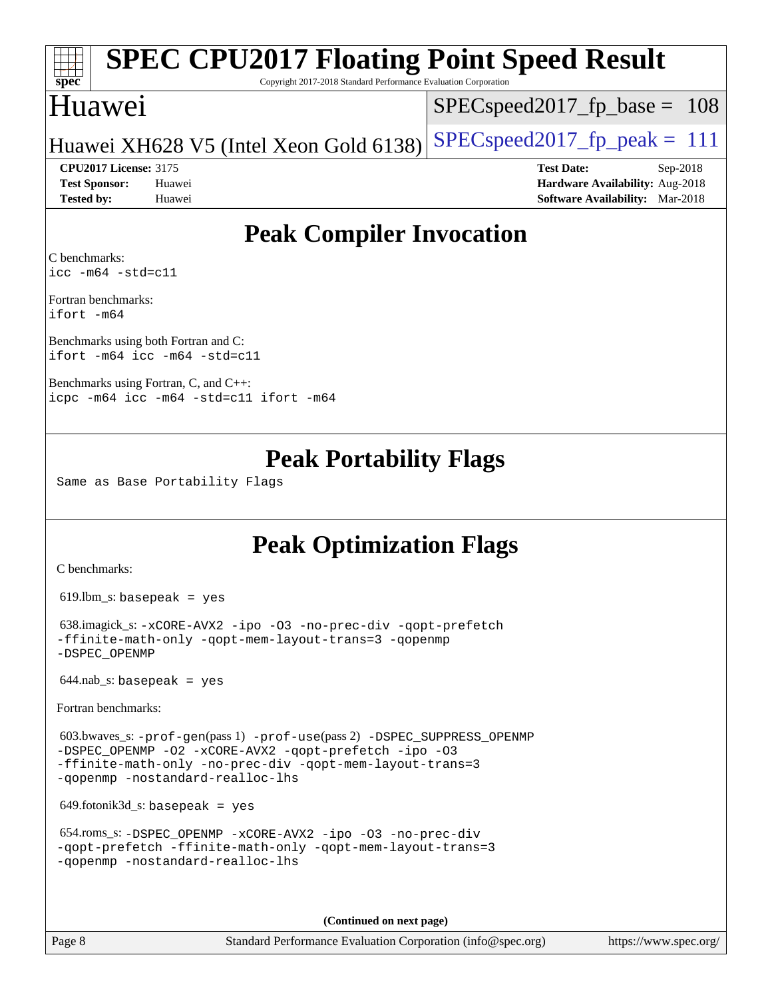# **[spec](http://www.spec.org/)**

## **[SPEC CPU2017 Floating Point Speed Result](http://www.spec.org/auto/cpu2017/Docs/result-fields.html#SPECCPU2017FloatingPointSpeedResult)**

Copyright 2017-2018 Standard Performance Evaluation Corporation

## Huawei

SPECspeed2017 fp base =  $108$ 

Huawei XH628 V5 (Intel Xeon Gold 6138) SPECspeed2017\_fp\_peak  $= 111$ 

**[CPU2017 License:](http://www.spec.org/auto/cpu2017/Docs/result-fields.html#CPU2017License)** 3175 **[Test Date:](http://www.spec.org/auto/cpu2017/Docs/result-fields.html#TestDate)** Sep-2018 **[Test Sponsor:](http://www.spec.org/auto/cpu2017/Docs/result-fields.html#TestSponsor)** Huawei **[Hardware Availability:](http://www.spec.org/auto/cpu2017/Docs/result-fields.html#HardwareAvailability)** Aug-2018 **[Tested by:](http://www.spec.org/auto/cpu2017/Docs/result-fields.html#Testedby)** Huawei **[Software Availability:](http://www.spec.org/auto/cpu2017/Docs/result-fields.html#SoftwareAvailability)** Mar-2018

## **[Peak Compiler Invocation](http://www.spec.org/auto/cpu2017/Docs/result-fields.html#PeakCompilerInvocation)**

[C benchmarks](http://www.spec.org/auto/cpu2017/Docs/result-fields.html#Cbenchmarks): [icc -m64 -std=c11](http://www.spec.org/cpu2017/results/res2018q4/cpu2017-20181025-09278.flags.html#user_CCpeak_intel_icc_64bit_c11_33ee0cdaae7deeeab2a9725423ba97205ce30f63b9926c2519791662299b76a0318f32ddfffdc46587804de3178b4f9328c46fa7c2b0cd779d7a61945c91cd35)

[Fortran benchmarks:](http://www.spec.org/auto/cpu2017/Docs/result-fields.html#Fortranbenchmarks) [ifort -m64](http://www.spec.org/cpu2017/results/res2018q4/cpu2017-20181025-09278.flags.html#user_FCpeak_intel_ifort_64bit_24f2bb282fbaeffd6157abe4f878425411749daecae9a33200eee2bee2fe76f3b89351d69a8130dd5949958ce389cf37ff59a95e7a40d588e8d3a57e0c3fd751)

[Benchmarks using both Fortran and C](http://www.spec.org/auto/cpu2017/Docs/result-fields.html#BenchmarksusingbothFortranandC): [ifort -m64](http://www.spec.org/cpu2017/results/res2018q4/cpu2017-20181025-09278.flags.html#user_CC_FCpeak_intel_ifort_64bit_24f2bb282fbaeffd6157abe4f878425411749daecae9a33200eee2bee2fe76f3b89351d69a8130dd5949958ce389cf37ff59a95e7a40d588e8d3a57e0c3fd751) [icc -m64 -std=c11](http://www.spec.org/cpu2017/results/res2018q4/cpu2017-20181025-09278.flags.html#user_CC_FCpeak_intel_icc_64bit_c11_33ee0cdaae7deeeab2a9725423ba97205ce30f63b9926c2519791662299b76a0318f32ddfffdc46587804de3178b4f9328c46fa7c2b0cd779d7a61945c91cd35)

[Benchmarks using Fortran, C, and C++](http://www.spec.org/auto/cpu2017/Docs/result-fields.html#BenchmarksusingFortranCandCXX): [icpc -m64](http://www.spec.org/cpu2017/results/res2018q4/cpu2017-20181025-09278.flags.html#user_CC_CXX_FCpeak_intel_icpc_64bit_4ecb2543ae3f1412ef961e0650ca070fec7b7afdcd6ed48761b84423119d1bf6bdf5cad15b44d48e7256388bc77273b966e5eb805aefd121eb22e9299b2ec9d9) [icc -m64 -std=c11](http://www.spec.org/cpu2017/results/res2018q4/cpu2017-20181025-09278.flags.html#user_CC_CXX_FCpeak_intel_icc_64bit_c11_33ee0cdaae7deeeab2a9725423ba97205ce30f63b9926c2519791662299b76a0318f32ddfffdc46587804de3178b4f9328c46fa7c2b0cd779d7a61945c91cd35) [ifort -m64](http://www.spec.org/cpu2017/results/res2018q4/cpu2017-20181025-09278.flags.html#user_CC_CXX_FCpeak_intel_ifort_64bit_24f2bb282fbaeffd6157abe4f878425411749daecae9a33200eee2bee2fe76f3b89351d69a8130dd5949958ce389cf37ff59a95e7a40d588e8d3a57e0c3fd751)

## **[Peak Portability Flags](http://www.spec.org/auto/cpu2017/Docs/result-fields.html#PeakPortabilityFlags)**

Same as Base Portability Flags

## **[Peak Optimization Flags](http://www.spec.org/auto/cpu2017/Docs/result-fields.html#PeakOptimizationFlags)**

[C benchmarks](http://www.spec.org/auto/cpu2017/Docs/result-fields.html#Cbenchmarks):

 $619.$ lbm\_s: basepeak = yes

```
 638.imagick_s: -xCORE-AVX2 -ipo -O3 -no-prec-div -qopt-prefetch
-ffinite-math-only -qopt-mem-layout-trans=3 -qopenmp
-DSPEC_OPENMP
```
 $644.nab$ <sub>S</sub>: basepeak = yes

[Fortran benchmarks](http://www.spec.org/auto/cpu2017/Docs/result-fields.html#Fortranbenchmarks):

```
 603.bwaves_s: -prof-gen(pass 1) -prof-use(pass 2) -DSPEC_SUPPRESS_OPENMP
-DSPEC_OPENMP -O2 -xCORE-AVX2 -qopt-prefetch -ipo -O3
-ffinite-math-only -no-prec-div -qopt-mem-layout-trans=3
-qopenmp -nostandard-realloc-lhs
```
649.fotonik3d\_s: basepeak = yes

```
 654.roms_s: -DSPEC_OPENMP -xCORE-AVX2 -ipo -O3 -no-prec-div
-qopt-prefetch -ffinite-math-only -qopt-mem-layout-trans=3
-qopenmp -nostandard-realloc-lhs
```
**(Continued on next page)**